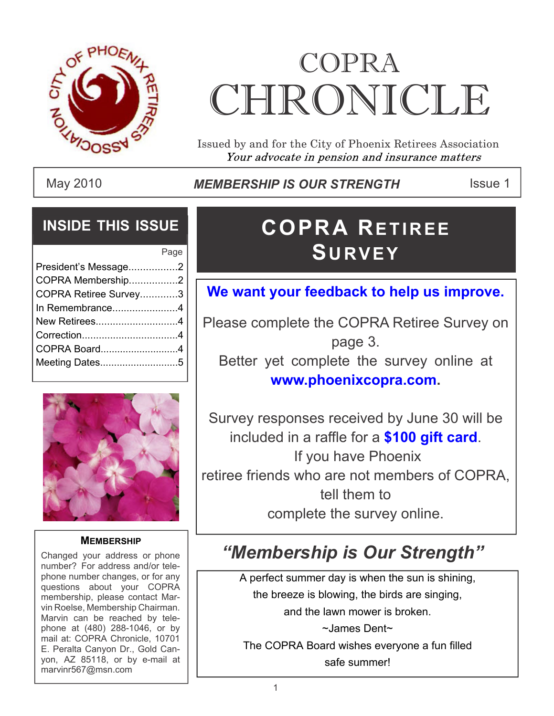

# COPRA **CHRONICLE**

Issued by and for the City of Phoenix Retirees Association Your advocate in pension and insurance matters

May 2010 **Inter Strip IS OUR STRENGTH** ISSue 1

#### **INSIDE THIS ISSUE**

|                       | Page |
|-----------------------|------|
| President's Message2  |      |
| COPRA Membership2     |      |
| COPRA Retiree Survey3 |      |
| In Remembrance4       |      |
| New Retirees4         |      |
|                       |      |
| COPRA Board4          |      |
| Meeting Dates5        |      |
|                       |      |



#### **MEMBERSHIP**

Changed your address or phone number? For address and/or telephone number changes, or for any questions about your COPRA membership, please contact Marvin Roelse, Membership Chairman. Marvin can be reached by telephone at (480) 288-1046, or by mail at: COPRA Chronicle, 10701 E. Peralta Canyon Dr., Gold Canyon, AZ 85118, or by e-mail at marvinr567@msn.com

## **COPRA RETIREE**  $S$ **URVEY**

#### **We want your feedback to help us improve.**

Please complete the COPRA Retiree Survey on page 3. Better yet complete the survey online at **www.phoenixcopra.com.**

Survey responses received by June 30 will be included in a raffle for a **\$100 gift card**. If you have Phoenix retiree friends who are not members of COPRA, tell them to complete the survey online.

### *"Membership is Our Strength"*

A perfect summer day is when the sun is shining, the breeze is blowing, the birds are singing, and the lawn mower is broken. ~James Dent~ The COPRA Board wishes everyone a fun filled safe summer!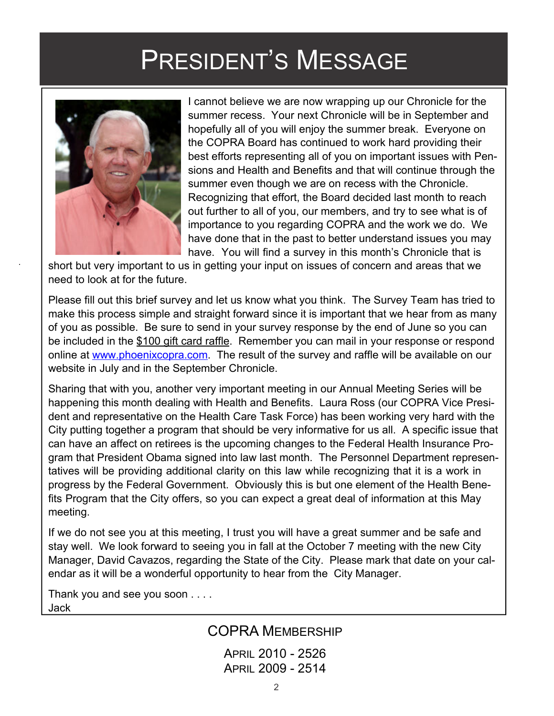## PRESIDENT'S MESSAGE



I cannot believe we are now wrapping up our Chronicle for the summer recess. Your next Chronicle will be in September and hopefully all of you will enjoy the summer break. Everyone on the COPRA Board has continued to work hard providing their best efforts representing all of you on important issues with Pensions and Health and Benefits and that will continue through the summer even though we are on recess with the Chronicle. Recognizing that effort, the Board decided last month to reach out further to all of you, our members, and try to see what is of importance to you regarding COPRA and the work we do. We have done that in the past to better understand issues you may have. You will find a survey in this month's Chronicle that is

short but very important to us in getting your input on issues of concern and areas that we need to look at for the future.

Please fill out this brief survey and let us know what you think. The Survey Team has tried to make this process simple and straight forward since it is important that we hear from as many of you as possible. Be sure to send in your survey response by the end of June so you can be included in the \$100 gift card raffle. Remember you can mail in your response or respond online at www.phoenixcopra.com. The result of the survey and raffle will be available on our website in July and in the September Chronicle.

Sharing that with you, another very important meeting in our Annual Meeting Series will be happening this month dealing with Health and Benefits. Laura Ross (our COPRA Vice President and representative on the Health Care Task Force) has been working very hard with the City putting together a program that should be very informative for us all. A specific issue that can have an affect on retirees is the upcoming changes to the Federal Health Insurance Program that President Obama signed into law last month. The Personnel Department representatives will be providing additional clarity on this law while recognizing that it is a work in progress by the Federal Government. Obviously this is but one element of the Health Benefits Program that the City offers, so you can expect a great deal of information at this May meeting.

If we do not see you at this meeting, I trust you will have a great summer and be safe and stay well. We look forward to seeing you in fall at the October 7 meeting with the new City Manager, David Cavazos, regarding the State of the City. Please mark that date on your calendar as it will be a wonderful opportunity to hear from the City Manager.

Thank you and see you soon . . . . Jack

#### COPRA MEMBERSHIP

APRIL 2010 - 2526 APRIL 2009 - 2514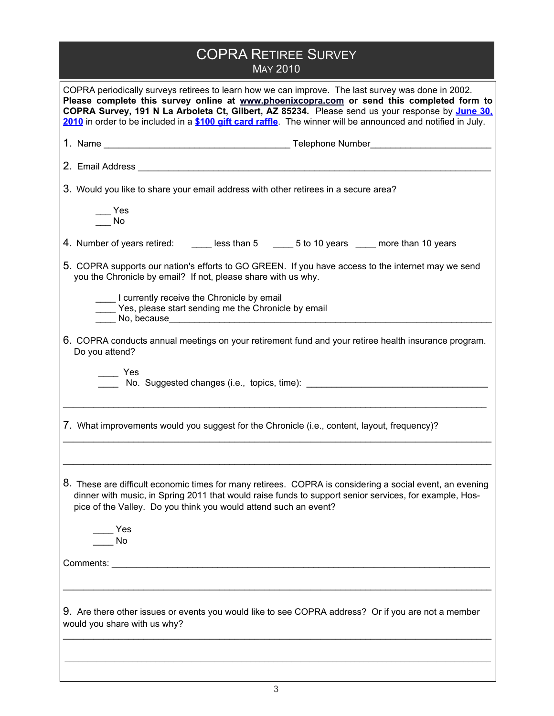| <b>COPRA RETIREE SURVEY</b><br><b>MAY 2010</b>                                                                                                                                                                                                                                                                                                                                                                     |  |  |  |
|--------------------------------------------------------------------------------------------------------------------------------------------------------------------------------------------------------------------------------------------------------------------------------------------------------------------------------------------------------------------------------------------------------------------|--|--|--|
| COPRA periodically surveys retirees to learn how we can improve. The last survey was done in 2002.<br>Please complete this survey online at www.phoenixcopra.com or send this completed form to<br>COPRA Survey, 191 N La Arboleta Ct, Gilbert, AZ 85234. Please send us your response by June 30.<br>2010 in order to be included in a \$100 gift card raffle. The winner will be announced and notified in July. |  |  |  |
|                                                                                                                                                                                                                                                                                                                                                                                                                    |  |  |  |
|                                                                                                                                                                                                                                                                                                                                                                                                                    |  |  |  |
| 3. Would you like to share your email address with other retirees in a secure area?                                                                                                                                                                                                                                                                                                                                |  |  |  |
| — Yes<br>No                                                                                                                                                                                                                                                                                                                                                                                                        |  |  |  |
| 4. Number of years retired: _______ less than 5 ______ 5 to 10 years _____ more than 10 years                                                                                                                                                                                                                                                                                                                      |  |  |  |
| 5. COPRA supports our nation's efforts to GO GREEN. If you have access to the internet may we send<br>you the Chronicle by email? If not, please share with us why.                                                                                                                                                                                                                                                |  |  |  |
| I currently receive the Chronicle by email<br>Yes, please start sending me the Chronicle by email                                                                                                                                                                                                                                                                                                                  |  |  |  |
| 6. COPRA conducts annual meetings on your retirement fund and your retiree health insurance program.<br>Do you attend?                                                                                                                                                                                                                                                                                             |  |  |  |
| $\equiv$ Yes                                                                                                                                                                                                                                                                                                                                                                                                       |  |  |  |
| 7. What improvements would you suggest for the Chronicle (i.e., content, layout, frequency)?                                                                                                                                                                                                                                                                                                                       |  |  |  |
|                                                                                                                                                                                                                                                                                                                                                                                                                    |  |  |  |
| 8. These are difficult economic times for many retirees. COPRA is considering a social event, an evening<br>dinner with music, in Spring 2011 that would raise funds to support senior services, for example, Hos-<br>pice of the Valley. Do you think you would attend such an event?                                                                                                                             |  |  |  |
| $\_$ Yes<br>$\overline{\phantom{a}}$ No                                                                                                                                                                                                                                                                                                                                                                            |  |  |  |
|                                                                                                                                                                                                                                                                                                                                                                                                                    |  |  |  |
|                                                                                                                                                                                                                                                                                                                                                                                                                    |  |  |  |
| 9. Are there other issues or events you would like to see COPRA address? Or if you are not a member<br>would you share with us why?                                                                                                                                                                                                                                                                                |  |  |  |
|                                                                                                                                                                                                                                                                                                                                                                                                                    |  |  |  |
|                                                                                                                                                                                                                                                                                                                                                                                                                    |  |  |  |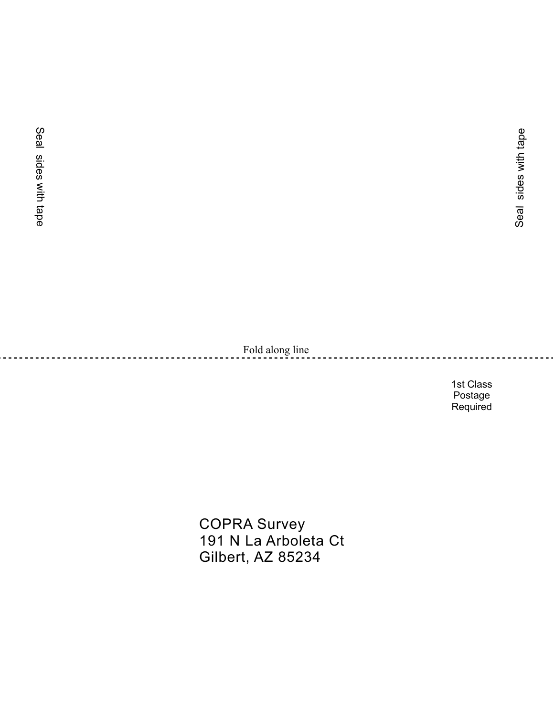Fold along line

1st Class Postage Required

COPRA Survey 191 N La Arboleta Ct Gilbert, AZ 85234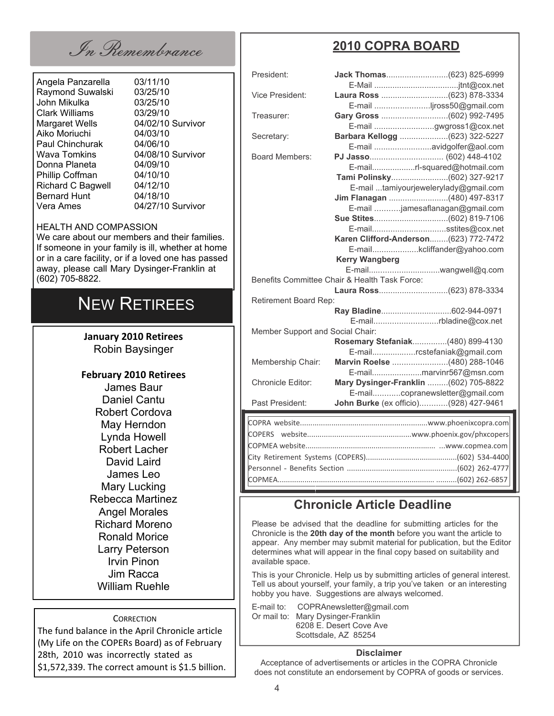In Remembrance

Angela Panzarella 03/11/10 Raymond Suwalski 03/25/10 John Mikulka 03/25/10 Clark Williams 03/29/10 Margaret Wells 04/02/10 Survivor Aiko Moriuchi 04/03/10 Paul Chinchurak 04/06/10<br>Wava Tomkins 04/08/10 Donna Planeta 04/09/10 Phillip Coffman 04/10/10<br>Richard C Bagwell 04/12/10 Richard C Bagwell Bernard Hunt 04/18/10 Vera Ames 04/27/10 Survivor

04/08/10 Survivor

#### HEALTH AND COMPASSION

We care about our members and their families. If someone in your family is ill, whether at home or in a care facility, or if a loved one has passed away, please call Mary Dysinger-Franklin at (602) 705-8822.

#### NEW RETIREES

**January 2010 Retirees** Robin Baysinger

**February 2010 Retirees** James Baur Daniel Cantu Robert Cordova May Herndon Lynda Howell Robert Lacher David Laird James Leo Mary Lucking Rebecca Martinez Angel Morales Richard Moreno Ronald Morice Larry Peterson Irvin Pinon Jim Racca William Ruehle

**CORRECTION** 

The fund balance in the April Chronicle article (My Life on the COPERs Board) as of February 28th, 2010 was incorrectly stated as \$1,572,339. The correct amount is \$1.5 billion.

#### **2010 COPRA BOARD**

| President:                                    |                       |                                       |  |  |
|-----------------------------------------------|-----------------------|---------------------------------------|--|--|
|                                               |                       |                                       |  |  |
| <b>Vice President:</b>                        |                       |                                       |  |  |
|                                               |                       | E-mail jross50@gmail.com              |  |  |
| Treasurer:                                    |                       |                                       |  |  |
|                                               |                       | E-mail gwgross1@cox.net               |  |  |
| Secretary:                                    |                       | Barbara Kellogg (623) 322-5227        |  |  |
|                                               |                       | E-mail avidgolfer@aol.com             |  |  |
| <b>Board Members:</b>                         |                       |                                       |  |  |
|                                               |                       | E-mailrl-squared@hotmail.com          |  |  |
|                                               |                       |                                       |  |  |
|                                               |                       | E-mail tamiyourjewelerylady@gmail.com |  |  |
|                                               |                       | Jim Flanagan (480) 497-8317           |  |  |
|                                               |                       | E-mail jamesaflanagan@gmail.com       |  |  |
|                                               |                       |                                       |  |  |
|                                               |                       | E-mailsstites@cox.net                 |  |  |
|                                               |                       | Karen Clifford-Anderson(623) 772-7472 |  |  |
|                                               |                       | E-mailkcliffander@yahoo.com           |  |  |
|                                               | <b>Kerry Wangberg</b> |                                       |  |  |
|                                               |                       |                                       |  |  |
| Benefits Committee Chair & Health Task Force: |                       |                                       |  |  |
|                                               |                       |                                       |  |  |
| Retirement Board Rep:                         |                       |                                       |  |  |
|                                               |                       |                                       |  |  |
|                                               |                       | E-mailrbladine@cox.net                |  |  |
| Member Support and Social Chair:              |                       |                                       |  |  |
|                                               |                       | Rosemary Stefaniak(480) 899-4130      |  |  |
|                                               |                       | E-mailrcstefaniak@gmail.com           |  |  |
| Membership Chair:                             |                       | Marvin Roelse (480) 288-1046          |  |  |
|                                               |                       | E-mailmarvinr567@msn.com              |  |  |
| <b>Chronicle Editor:</b>                      |                       | Mary Dysinger-Franklin (602) 705-8822 |  |  |
|                                               |                       | E-mailcopranewsletter@gmail.com       |  |  |
| Past President:                               |                       | John Burke (ex officio)(928) 427-9461 |  |  |
|                                               |                       |                                       |  |  |
|                                               |                       |                                       |  |  |
|                                               |                       |                                       |  |  |
|                                               |                       |                                       |  |  |
|                                               |                       |                                       |  |  |
|                                               |                       |                                       |  |  |

#### **Chronicle Article Deadline**

COPMEA............................................................................ ..........(602) 262-6857

Please be advised that the deadline for submitting articles for the Chronicle is the **20th day of the month** before you want the article to appear. Any member may submit material for publication, but the Editor determines what will appear in the final copy based on suitability and available space.

This is your Chronicle. Help us by submitting articles of general interest. Tell us about yourself, your family, a trip you've taken or an interesting hobby you have. Suggestions are always welcomed.

E-mail to: COPRAnewsletter@gmail.com Or mail to: Mary Dysinger-Franklin 6208 E. Desert Cove Ave Scottsdale, AZ 85254

#### **Disclaimer**

Acceptance of advertisements or articles in the COPRA Chronicle does not constitute an endorsement by COPRA of goods or services.